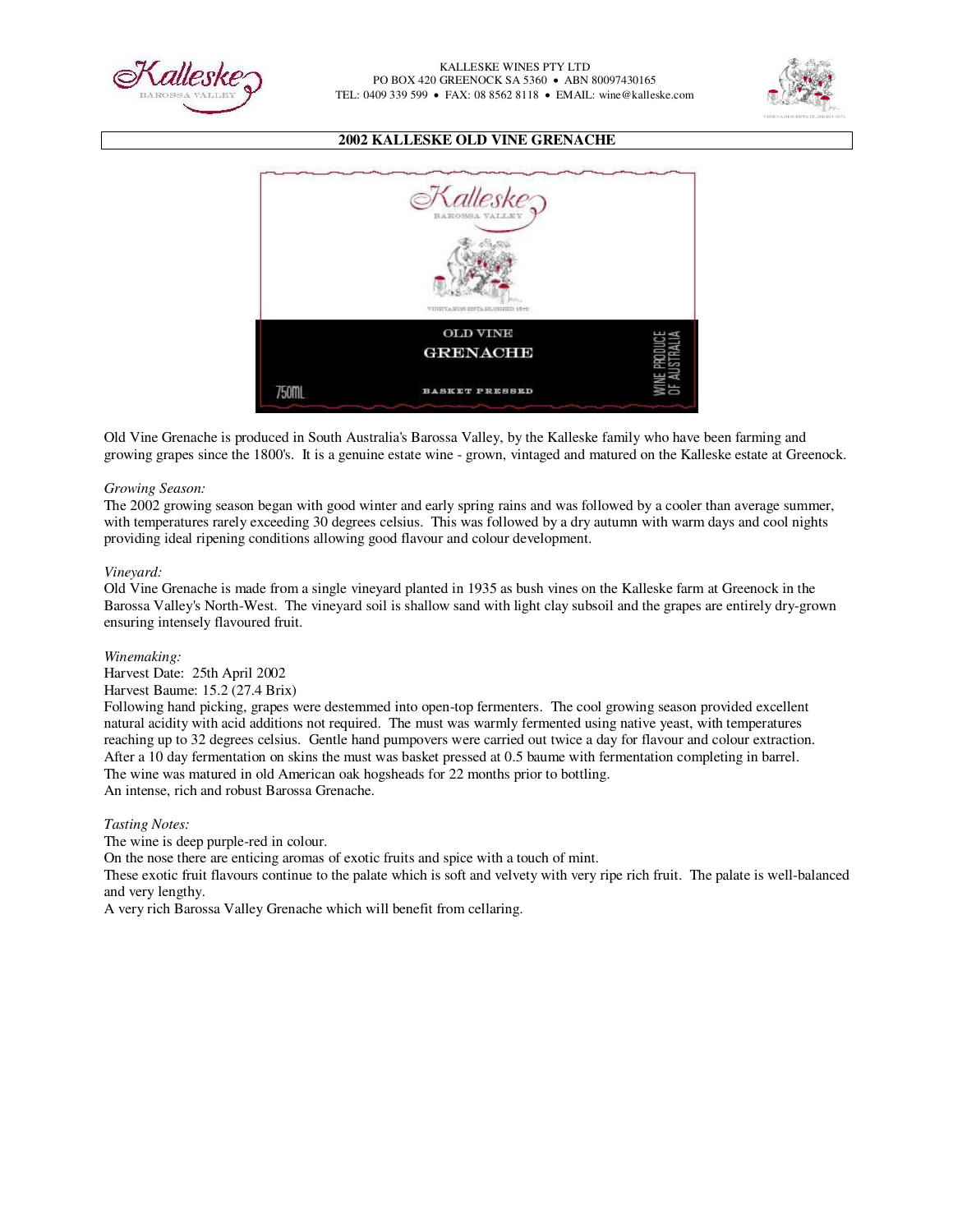



## **2002 KALLESKE OLD VINE GRENACHE**



Old Vine Grenache is produced in South Australia's Barossa Valley, by the Kalleske family who have been farming and growing grapes since the 1800's. It is a genuine estate wine - grown, vintaged and matured on the Kalleske estate at Greenock.

### *Growing Season:*

The 2002 growing season began with good winter and early spring rains and was followed by a cooler than average summer, with temperatures rarely exceeding 30 degrees celsius. This was followed by a dry autumn with warm days and cool nights providing ideal ripening conditions allowing good flavour and colour development.

### *Vineyard:*

Old Vine Grenache is made from a single vineyard planted in 1935 as bush vines on the Kalleske farm at Greenock in the Barossa Valley's North-West. The vineyard soil is shallow sand with light clay subsoil and the grapes are entirely dry-grown ensuring intensely flavoured fruit.

#### *Winemaking:*

Harvest Date: 25th April 2002

### Harvest Baume: 15.2 (27.4 Brix)

Following hand picking, grapes were destemmed into open-top fermenters. The cool growing season provided excellent natural acidity with acid additions not required. The must was warmly fermented using native yeast, with temperatures reaching up to 32 degrees celsius. Gentle hand pumpovers were carried out twice a day for flavour and colour extraction. After a 10 day fermentation on skins the must was basket pressed at 0.5 baume with fermentation completing in barrel. The wine was matured in old American oak hogsheads for 22 months prior to bottling. An intense, rich and robust Barossa Grenache.

#### *Tasting Notes:*

The wine is deep purple-red in colour.

On the nose there are enticing aromas of exotic fruits and spice with a touch of mint.

These exotic fruit flavours continue to the palate which is soft and velvety with very ripe rich fruit. The palate is well-balanced and very lengthy.

A very rich Barossa Valley Grenache which will benefit from cellaring.